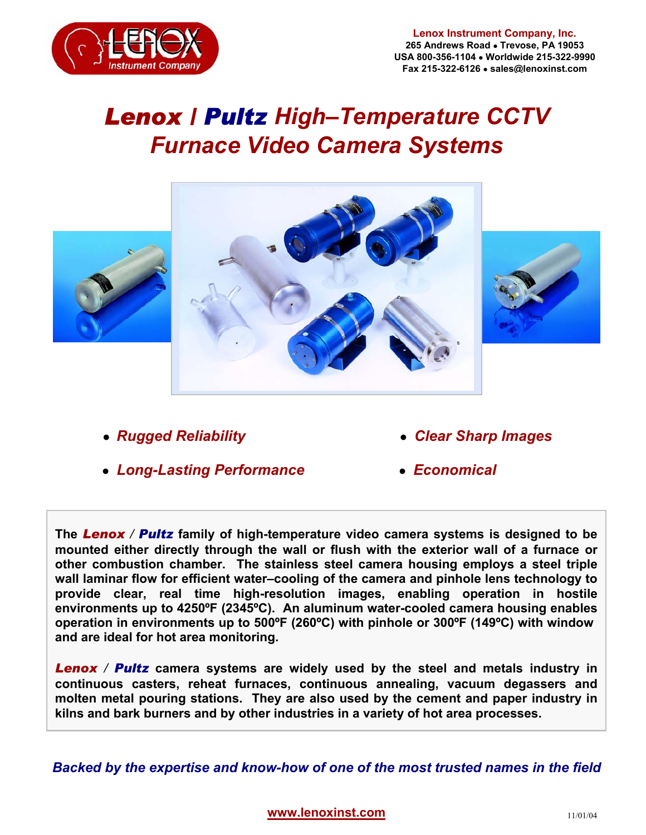

## **Lenox Instrument Company, Inc. 265 Andrews Road** • **Trevose, PA 19053 USA 800-356-1104** • **Worldwide 215-322-9990 Fax 215-322-6126** • **sales@lenoxinst.com**

## *Lenox / Pultz High–Temperature CCTV Furnace Video Camera Systems*





I

l.

- **●** *Rugged Reliability ● Clear Sharp Images*
- *● Long-Lasting Performance ● Economical*
- 

**The** *Lenox / Pultz* **family of high-temperature video camera systems is designed to be mounted either directly through the wall or flush with the exterior wall of a furnace or other combustion chamber. The stainless steel camera housing employs a steel triple wall laminar flow for efficient water–cooling of the camera and pinhole lens technology to provide clear, real time high-resolution images, enabling operation in hostile environments up to 4250ºF (2345ºC). An aluminum water-cooled camera housing enables operation in environments up to 500ºF (260ºC) with pinhole or 300ºF (149ºC) with window and are ideal for hot area monitoring.** 

**Lenox** / **Pultz** camera systems are widely used by the steel and metals industry in **continuous casters, reheat furnaces, continuous annealing, vacuum degassers and molten metal pouring stations. They are also used by the cement and paper industry in kilns and bark burners and by other industries in a variety of hot area processes.** 

*Backed by the expertise and know-how of one of the most trusted names in the field*